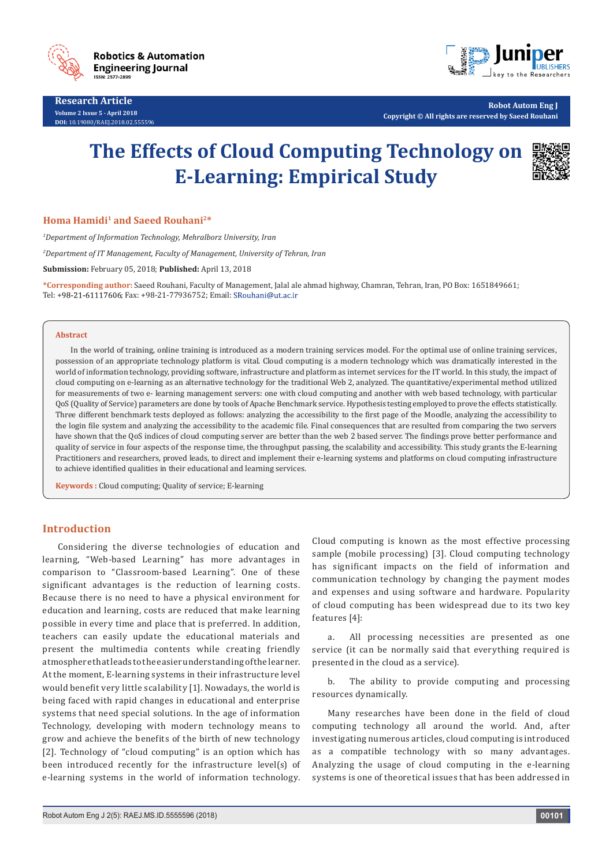

**Research Article Volume 2 Issue 5 - April 2018 DOI:** [10.19080/RAEJ.2018.02.555596](http://dx.doi.org/10.19080/RAEJ.2018.02.555596
)



**Robot Autom Eng J Copyright © All rights are reserved by Saeed Rouhani**

# **The Effects of Cloud Computing Technology on E-Learning: Empirical Study**



## **Homa Hamidi1 and Saeed Rouhani2\***

*1 Department of Information Technology, Mehralborz University, Iran*

*2 Department of IT Management, Faculty of Management, University of Tehran, Iran*

**Submission:** February 05, 2018; **Published:** April 13, 2018

**\*Corresponding author:** Saeed Rouhani, Faculty of Management, Jalal ale ahmad highway, Chamran, Tehran, Iran, PO Box: 1651849661; Tel: +98-21-61117606; Fax: +98-21-77936752; Email: SRouhani@ut.ac.ir

#### **Abstract**

In the world of training, online training is introduced as a modern training services model. For the optimal use of online training services, possession of an appropriate technology platform is vital. Cloud computing is a modern technology which was dramatically interested in the world of information technology, providing software, infrastructure and platform as internet services for the IT world. In this study, the impact of cloud computing on e-learning as an alternative technology for the traditional Web 2, analyzed. The quantitative/experimental method utilized for measurements of two e- learning management servers: one with cloud computing and another with web based technology, with particular QoS (Quality of Service) parameters are done by tools of Apache Benchmark service. Hypothesis testing employed to prove the effects statistically. Three different benchmark tests deployed as follows: analyzing the accessibility to the first page of the Moodle, analyzing the accessibility to the login file system and analyzing the accessibility to the academic file. Final consequences that are resulted from comparing the two servers have shown that the QoS indices of cloud computing server are better than the web 2 based server. The findings prove better performance and quality of service in four aspects of the response time, the throughput passing, the scalability and accessibility. This study grants the E-learning Practitioners and researchers, proved leads, to direct and implement their e-learning systems and platforms on cloud computing infrastructure to achieve identified qualities in their educational and learning services.

**Keywords :** Cloud computing; Quality of service; E-learning

## **Introduction**

Considering the diverse technologies of education and learning, "Web-based Learning" has more advantages in comparison to "Classroom-based Learning". One of these significant advantages is the reduction of learning costs. Because there is no need to have a physical environment for education and learning, costs are reduced that make learning possible in every time and place that is preferred. In addition, teachers can easily update the educational materials and present the multimedia contents while creating friendly atmosphere that leads to the easier understanding of the learner. At the moment, E-learning systems in their infrastructure level would benefit very little scalability [1]. Nowadays, the world is being faced with rapid changes in educational and enterprise systems that need special solutions. In the age of information Technology, developing with modern technology means to grow and achieve the benefits of the birth of new technology [2]. Technology of "cloud computing" is an option which has been introduced recently for the infrastructure level(s) of e-learning systems in the world of information technology.

Cloud computing is known as the most effective processing sample (mobile processing) [3]. Cloud computing technology has significant impacts on the field of information and communication technology by changing the payment modes and expenses and using software and hardware. Popularity of cloud computing has been widespread due to its two key features [4]:

a. All processing necessities are presented as one service (it can be normally said that everything required is presented in the cloud as a service).

The ability to provide computing and processing resources dynamically.

Many researches have been done in the field of cloud computing technology all around the world. And, after investigating numerous articles, cloud computing is introduced as a compatible technology with so many advantages. Analyzing the usage of cloud computing in the e-learning systems is one of theoretical issues that has been addressed in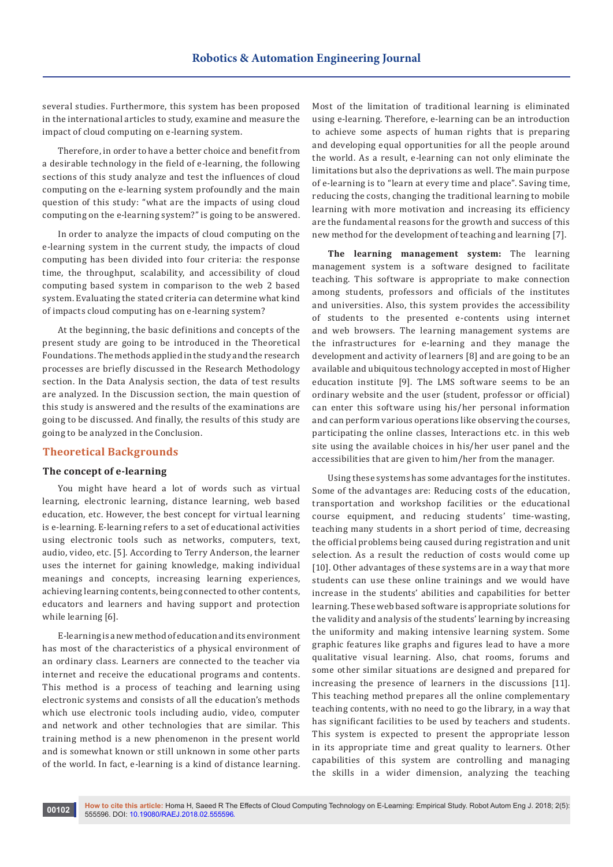several studies. Furthermore, this system has been proposed in the international articles to study, examine and measure the impact of cloud computing on e-learning system.

Therefore, in order to have a better choice and benefit from a desirable technology in the field of e-learning, the following sections of this study analyze and test the influences of cloud computing on the e-learning system profoundly and the main question of this study: "what are the impacts of using cloud computing on the e-learning system?" is going to be answered.

In order to analyze the impacts of cloud computing on the e-learning system in the current study, the impacts of cloud computing has been divided into four criteria: the response time, the throughput, scalability, and accessibility of cloud computing based system in comparison to the web 2 based system. Evaluating the stated criteria can determine what kind of impacts cloud computing has on e-learning system?

At the beginning, the basic definitions and concepts of the present study are going to be introduced in the Theoretical Foundations. The methods applied in the study and the research processes are briefly discussed in the Research Methodology section. In the Data Analysis section, the data of test results are analyzed. In the Discussion section, the main question of this study is answered and the results of the examinations are going to be discussed. And finally, the results of this study are going to be analyzed in the Conclusion.

## **Theoretical Backgrounds**

#### **The concept of e-learning**

You might have heard a lot of words such as virtual learning, electronic learning, distance learning, web based education, etc. However, the best concept for virtual learning is e-learning. E-learning refers to a set of educational activities using electronic tools such as networks, computers, text, audio, video, etc. [5]. According to Terry Anderson, the learner uses the internet for gaining knowledge, making individual meanings and concepts, increasing learning experiences, achieving learning contents, being connected to other contents, educators and learners and having support and protection while learning [6].

E-learning is a new method of education and its environment has most of the characteristics of a physical environment of an ordinary class. Learners are connected to the teacher via internet and receive the educational programs and contents. This method is a process of teaching and learning using electronic systems and consists of all the education's methods which use electronic tools including audio, video, computer and network and other technologies that are similar. This training method is a new phenomenon in the present world and is somewhat known or still unknown in some other parts of the world. In fact, e-learning is a kind of distance learning.

Most of the limitation of traditional learning is eliminated using e-learning. Therefore, e-learning can be an introduction to achieve some aspects of human rights that is preparing and developing equal opportunities for all the people around the world. As a result, e-learning can not only eliminate the limitations but also the deprivations as well. The main purpose of e-learning is to "learn at every time and place". Saving time, reducing the costs, changing the traditional learning to mobile learning with more motivation and increasing its efficiency are the fundamental reasons for the growth and success of this new method for the development of teaching and learning [7].

**The learning management system:** The learning management system is a software designed to facilitate teaching. This software is appropriate to make connection among students, professors and officials of the institutes and universities. Also, this system provides the accessibility of students to the presented e-contents using internet and web browsers. The learning management systems are the infrastructures for e-learning and they manage the development and activity of learners [8] and are going to be an available and ubiquitous technology accepted in most of Higher education institute [9]. The LMS software seems to be an ordinary website and the user (student, professor or official) can enter this software using his/her personal information and can perform various operations like observing the courses, participating the online classes, Interactions etc. in this web site using the available choices in his/her user panel and the accessibilities that are given to him/her from the manager.

Using these systems has some advantages for the institutes. Some of the advantages are: Reducing costs of the education, transportation and workshop facilities or the educational course equipment, and reducing students' time-wasting, teaching many students in a short period of time, decreasing the official problems being caused during registration and unit selection. As a result the reduction of costs would come up [10]. Other advantages of these systems are in a way that more students can use these online trainings and we would have increase in the students' abilities and capabilities for better learning. These web based software is appropriate solutions for the validity and analysis of the students' learning by increasing the uniformity and making intensive learning system. Some graphic features like graphs and figures lead to have a more qualitative visual learning. Also, chat rooms, forums and some other similar situations are designed and prepared for increasing the presence of learners in the discussions [11]. This teaching method prepares all the online complementary teaching contents, with no need to go the library, in a way that has significant facilities to be used by teachers and students. This system is expected to present the appropriate lesson in its appropriate time and great quality to learners. Other capabilities of this system are controlling and managing the skills in a wider dimension, analyzing the teaching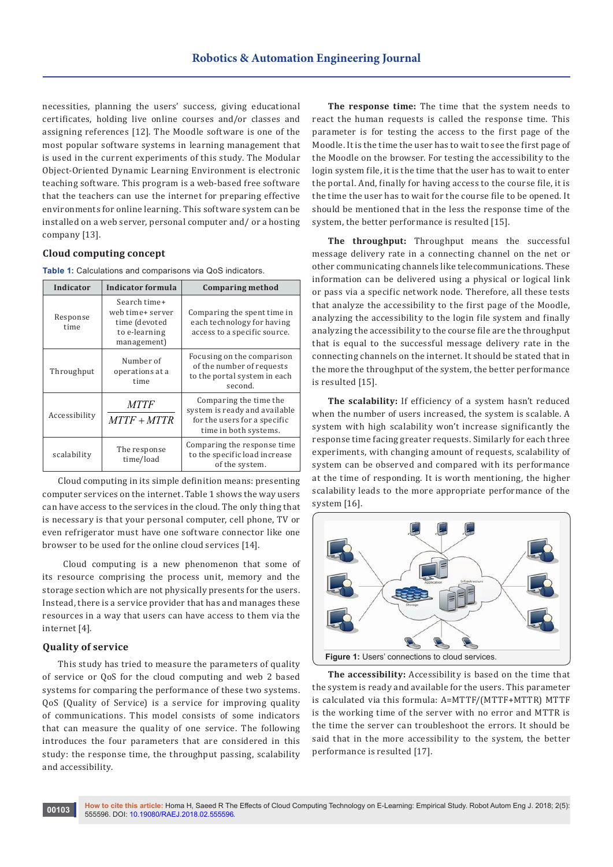necessities, planning the users' success, giving educational certificates, holding live online courses and/or classes and assigning references [12]. The Moodle software is one of the most popular software systems in learning management that is used in the current experiments of this study. The Modular Object-Oriented Dynamic Learning Environment is electronic teaching software. This program is a web-based free software that the teachers can use the internet for preparing effective environments for online learning. This software system can be installed on a web server, personal computer and/ or a hosting company [13].

### **Cloud computing concept**

**Table 1:** Calculations and comparisons via QoS indicators.

| Indicator        | Indicator formula                                                                 | <b>Comparing method</b>                                                                                          |  |  |  |
|------------------|-----------------------------------------------------------------------------------|------------------------------------------------------------------------------------------------------------------|--|--|--|
| Response<br>time | Search time+<br>web time+ server<br>time (devoted<br>to e-learning<br>management) | Comparing the spent time in<br>each technology for having<br>access to a specific source.                        |  |  |  |
| Throughput       | Number of<br>operations at a<br>time                                              | Focusing on the comparison<br>of the number of requests<br>to the portal system in each<br>second.               |  |  |  |
| Accessibility    | <b>MTTF</b><br>$MTTF + MTTR$                                                      | Comparing the time the<br>system is ready and available<br>for the users for a specific<br>time in both systems. |  |  |  |
| scalability      | The response<br>time/load                                                         | Comparing the response time<br>to the specific load increase<br>of the system.                                   |  |  |  |

Cloud computing in its simple definition means: presenting computer services on the internet. Table 1 shows the way users can have access to the services in the cloud. The only thing that is necessary is that your personal computer, cell phone, TV or even refrigerator must have one software connector like one browser to be used for the online cloud services [14].

 Cloud computing is a new phenomenon that some of its resource comprising the process unit, memory and the storage section which are not physically presents for the users. Instead, there is a service provider that has and manages these resources in a way that users can have access to them via the internet [4].

## **Quality of service**

This study has tried to measure the parameters of quality of service or QoS for the cloud computing and web 2 based systems for comparing the performance of these two systems. QoS (Quality of Service) is a service for improving quality of communications. This model consists of some indicators that can measure the quality of one service. The following introduces the four parameters that are considered in this study: the response time, the throughput passing, scalability and accessibility.

**The response time:** The time that the system needs to react the human requests is called the response time. This parameter is for testing the access to the first page of the Moodle. It is the time the user has to wait to see the first page of the Moodle on the browser. For testing the accessibility to the login system file, it is the time that the user has to wait to enter the portal. And, finally for having access to the course file, it is the time the user has to wait for the course file to be opened. It should be mentioned that in the less the response time of the system, the better performance is resulted [15].

**The throughput:** Throughput means the successful message delivery rate in a connecting channel on the net or other communicating channels like telecommunications. These information can be delivered using a physical or logical link or pass via a specific network node. Therefore, all these tests that analyze the accessibility to the first page of the Moodle, analyzing the accessibility to the login file system and finally analyzing the accessibility to the course file are the throughput that is equal to the successful message delivery rate in the connecting channels on the internet. It should be stated that in the more the throughput of the system, the better performance is resulted [15].

**The scalability:** If efficiency of a system hasn't reduced when the number of users increased, the system is scalable. A system with high scalability won't increase significantly the response time facing greater requests. Similarly for each three experiments, with changing amount of requests, scalability of system can be observed and compared with its performance at the time of responding. It is worth mentioning, the higher scalability leads to the more appropriate performance of the system [16].



**The accessibility:** Accessibility is based on the time that the system is ready and available for the users. This parameter is calculated via this formula: A=MTTF/(MTTF+MTTR) MTTF is the working time of the server with no error and MTTR is the time the server can troubleshoot the errors. It should be said that in the more accessibility to the system, the better performance is resulted [17].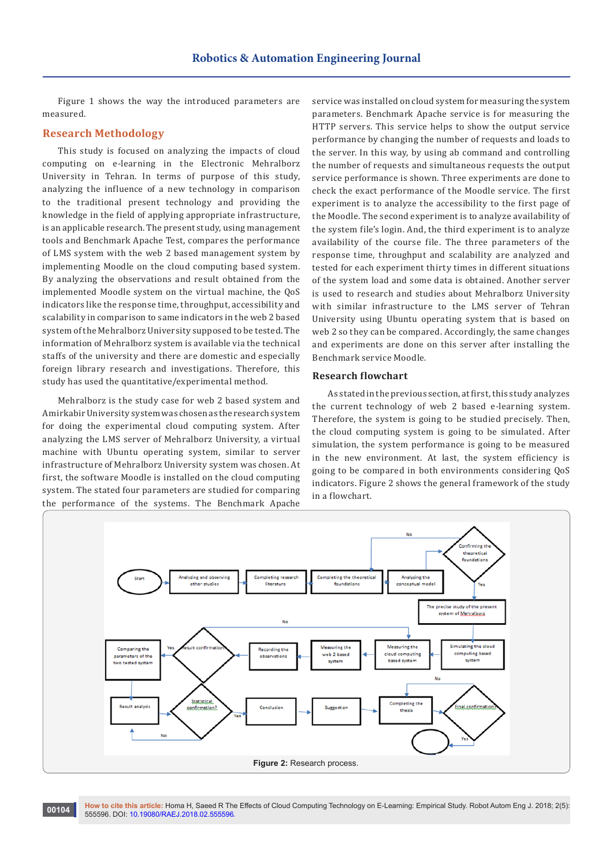Figure 1 shows the way the introduced parameters are measured.

## **Research Methodology**

This study is focused on analyzing the impacts of cloud computing on e-learning in the Electronic Mehralborz University in Tehran. In terms of purpose of this study, analyzing the influence of a new technology in comparison to the traditional present technology and providing the knowledge in the field of applying appropriate infrastructure, is an applicable research. The present study, using management tools and Benchmark Apache Test, compares the performance of LMS system with the web 2 based management system by implementing Moodle on the cloud computing based system. By analyzing the observations and result obtained from the implemented Moodle system on the virtual machine, the QoS indicators like the response time, throughput, accessibility and scalability in comparison to same indicators in the web 2 based system of the Mehralborz University supposed to be tested. The information of Mehralborz system is available via the technical staffs of the university and there are domestic and especially foreign library research and investigations. Therefore, this study has used the quantitative/experimental method.

Mehralborz is the study case for web 2 based system and Amirkabir University system was chosen as the research system for doing the experimental cloud computing system. After analyzing the LMS server of Mehralborz University, a virtual machine with Ubuntu operating system, similar to server infrastructure of Mehralborz University system was chosen. At first, the software Moodle is installed on the cloud computing system. The stated four parameters are studied for comparing the performance of the systems. The Benchmark Apache

service was installed on cloud system for measuring the system parameters. Benchmark Apache service is for measuring the HTTP servers. This service helps to show the output service performance by changing the number of requests and loads to the server. In this way, by using ab command and controlling the number of requests and simultaneous requests the output service performance is shown. Three experiments are done to check the exact performance of the Moodle service. The first experiment is to analyze the accessibility to the first page of the Moodle. The second experiment is to analyze availability of the system file's login. And, the third experiment is to analyze availability of the course file. The three parameters of the response time, throughput and scalability are analyzed and tested for each experiment thirty times in different situations of the system load and some data is obtained. Another server is used to research and studies about Mehralborz University with similar infrastructure to the LMS server of Tehran University using Ubuntu operating system that is based on web 2 so they can be compared. Accordingly, the same changes and experiments are done on this server after installing the Benchmark service Moodle.

### **Research flowchart**

As stated in the previous section, at first, this study analyzes the current technology of web 2 based e-learning system. Therefore, the system is going to be studied precisely. Then, the cloud computing system is going to be simulated. After simulation, the system performance is going to be measured in the new environment. At last, the system efficiency is going to be compared in both environments considering QoS indicators. Figure 2 shows the general framework of the study in a flowchart.



**How to cite this article:** Homa H, Saeed R The Effects of Cloud Computing Technology on E-Learning: Empirical Study. Robot Autom Eng J. 2018; 2(5): **60104** How to cite this article: Homa H, Saeed R The 555596. DOI: [10.19080/RAEJ.2018.02.555596](http://dx.doi.org/10.19080/RAEJ.2018.02.555596
)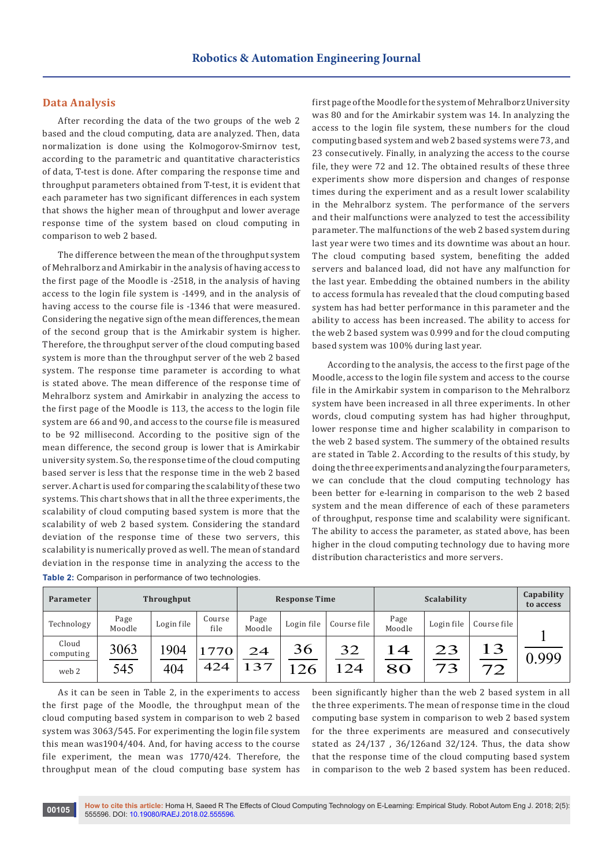#### **Data Analysis**

After recording the data of the two groups of the web 2 based and the cloud computing, data are analyzed. Then, data normalization is done using the Kolmogorov-Smirnov test, according to the parametric and quantitative characteristics of data, T-test is done. After comparing the response time and throughput parameters obtained from T-test, it is evident that each parameter has two significant differences in each system that shows the higher mean of throughput and lower average response time of the system based on cloud computing in comparison to web 2 based.

The difference between the mean of the throughput system of Mehralborz and Amirkabir in the analysis of having access to the first page of the Moodle is -2518, in the analysis of having access to the login file system is -1499, and in the analysis of having access to the course file is -1346 that were measured. Considering the negative sign of the mean differences, the mean of the second group that is the Amirkabir system is higher. Therefore, the throughput server of the cloud computing based system is more than the throughput server of the web 2 based system. The response time parameter is according to what is stated above. The mean difference of the response time of Mehralborz system and Amirkabir in analyzing the access to the first page of the Moodle is 113, the access to the login file system are 66 and 90, and access to the course file is measured to be 92 millisecond. According to the positive sign of the mean difference, the second group is lower that is Amirkabir university system. So, the response time of the cloud computing based server is less that the response time in the web 2 based server. A chart is used for comparing the scalability of these two systems. This chart shows that in all the three experiments, the scalability of cloud computing based system is more that the scalability of web 2 based system. Considering the standard deviation of the response time of these two servers, this scalability is numerically proved as well. The mean of standard deviation in the response time in analyzing the access to the **Table 2:** Comparison in performance of two technologies.

first page of the Moodle for the system of Mehralborz University was 80 and for the Amirkabir system was 14. In analyzing the access to the login file system, these numbers for the cloud computing based system and web 2 based systems were 73, and 23 consecutively. Finally, in analyzing the access to the course file, they were 72 and 12. The obtained results of these three experiments show more dispersion and changes of response times during the experiment and as a result lower scalability in the Mehralborz system. The performance of the servers and their malfunctions were analyzed to test the accessibility parameter. The malfunctions of the web 2 based system during last year were two times and its downtime was about an hour. The cloud computing based system, benefiting the added servers and balanced load, did not have any malfunction for the last year. Embedding the obtained numbers in the ability to access formula has revealed that the cloud computing based system has had better performance in this parameter and the ability to access has been increased. The ability to access for the web 2 based system was 0.999 and for the cloud computing based system was 100% during last year.

According to the analysis, the access to the first page of the Moodle, access to the login file system and access to the course file in the Amirkabir system in comparison to the Mehralborz system have been increased in all three experiments. In other words, cloud computing system has had higher throughput, lower response time and higher scalability in comparison to the web 2 based system. The summery of the obtained results are stated in Table 2. According to the results of this study, by doing the three experiments and analyzing the four parameters, we can conclude that the cloud computing technology has been better for e-learning in comparison to the web 2 based system and the mean difference of each of these parameters of throughput, response time and scalability were significant. The ability to access the parameter, as stated above, has been higher in the cloud computing technology due to having more distribution characteristics and more servers.

| Parameter          | <b>Throughput</b> |            | <b>Response Time</b> |                | Scalability |             |                | Capability<br>to access |             |       |
|--------------------|-------------------|------------|----------------------|----------------|-------------|-------------|----------------|-------------------------|-------------|-------|
| Technology         | Page<br>Moodle    | Login file | Course<br>file       | Page<br>Moodle | Login file  | Course file | Page<br>Moodle | Login file              | Course file |       |
| Cloud<br>computing | 3063              | 1904       | 770                  | 24             | 36          | 32          | $1\,4$         | 23                      | 13          | 0.999 |
| web 2              | 545               | 404        | 424                  | 37             | 26          | 24          | 80             | 73                      | 72          |       |

As it can be seen in Table 2, in the experiments to access the first page of the Moodle, the throughput mean of the cloud computing based system in comparison to web 2 based system was 3063/545. For experimenting the login file system this mean was1904/404. And, for having access to the course file experiment, the mean was 1770/424. Therefore, the throughput mean of the cloud computing base system has

been significantly higher than the web 2 based system in all the three experiments. The mean of response time in the cloud computing base system in comparison to web 2 based system for the three experiments are measured and consecutively stated as 24/137 , 36/126and 32/124. Thus, the data show that the response time of the cloud computing based system in comparison to the web 2 based system has been reduced.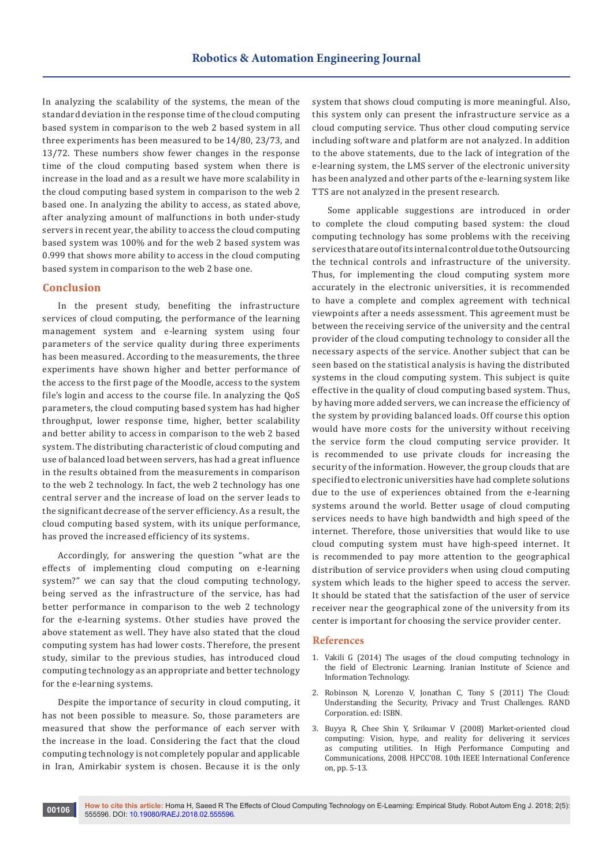In analyzing the scalability of the systems, the mean of the standard deviation in the response time of the cloud computing based system in comparison to the web 2 based system in all three experiments has been measured to be 14/80, 23/73, and 13/72. These numbers show fewer changes in the response time of the cloud computing based system when there is increase in the load and as a result we have more scalability in the cloud computing based system in comparison to the web 2 based one. In analyzing the ability to access, as stated above, after analyzing amount of malfunctions in both under-study servers in recent year, the ability to access the cloud computing based system was 100% and for the web 2 based system was 0.999 that shows more ability to access in the cloud computing based system in comparison to the web 2 base one.

#### **Conclusion**

In the present study, benefiting the infrastructure services of cloud computing, the performance of the learning management system and e-learning system using four parameters of the service quality during three experiments has been measured. According to the measurements, the three experiments have shown higher and better performance of the access to the first page of the Moodle, access to the system file's login and access to the course file. In analyzing the QoS parameters, the cloud computing based system has had higher throughput, lower response time, higher, better scalability and better ability to access in comparison to the web 2 based system. The distributing characteristic of cloud computing and use of balanced load between servers, has had a great influence in the results obtained from the measurements in comparison to the web 2 technology. In fact, the web 2 technology has one central server and the increase of load on the server leads to the significant decrease of the server efficiency. As a result, the cloud computing based system, with its unique performance, has proved the increased efficiency of its systems.

Accordingly, for answering the question "what are the effects of implementing cloud computing on e-learning system?" we can say that the cloud computing technology, being served as the infrastructure of the service, has had better performance in comparison to the web 2 technology for the e-learning systems. Other studies have proved the above statement as well. They have also stated that the cloud computing system has had lower costs. Therefore, the present study, similar to the previous studies, has introduced cloud computing technology as an appropriate and better technology for the e-learning systems.

Despite the importance of security in cloud computing, it has not been possible to measure. So, those parameters are measured that show the performance of each server with the increase in the load. Considering the fact that the cloud computing technology is not completely popular and applicable in Iran, Amirkabir system is chosen. Because it is the only system that shows cloud computing is more meaningful. Also, this system only can present the infrastructure service as a cloud computing service. Thus other cloud computing service including software and platform are not analyzed. In addition to the above statements, due to the lack of integration of the e-learning system, the LMS server of the electronic university has been analyzed and other parts of the e-learning system like TTS are not analyzed in the present research.

Some applicable suggestions are introduced in order to complete the cloud computing based system: the cloud computing technology has some problems with the receiving services that are out of its internal control due to the Outsourcing the technical controls and infrastructure of the university. Thus, for implementing the cloud computing system more accurately in the electronic universities, it is recommended to have a complete and complex agreement with technical viewpoints after a needs assessment. This agreement must be between the receiving service of the university and the central provider of the cloud computing technology to consider all the necessary aspects of the service. Another subject that can be seen based on the statistical analysis is having the distributed systems in the cloud computing system. This subject is quite effective in the quality of cloud computing based system. Thus, by having more added servers, we can increase the efficiency of the system by providing balanced loads. Off course this option would have more costs for the university without receiving the service form the cloud computing service provider. It is recommended to use private clouds for increasing the security of the information. However, the group clouds that are specified to electronic universities have had complete solutions due to the use of experiences obtained from the e-learning systems around the world. Better usage of cloud computing services needs to have high bandwidth and high speed of the internet. Therefore, those universities that would like to use cloud computing system must have high-speed internet. It is recommended to pay more attention to the geographical distribution of service providers when using cloud computing system which leads to the higher speed to access the server. It should be stated that the satisfaction of the user of service receiver near the geographical zone of the university from its center is important for choosing the service provider center.

#### **References**

- 1. Vakili G (2014) The usages of the cloud computing technology in the field of Electronic Learning. Iranian Institute of Science and Information Technology.
- 2. [Robinson N, Lorenzo V, Jonathan C, Tony S \(2011\) The Cloud:](https://www.rand.org/content/dam/rand/pubs/technical_reports/2011/RAND_TR933.pdf)  [Understanding the Security, Privacy and Trust Challenges. RAND](https://www.rand.org/content/dam/rand/pubs/technical_reports/2011/RAND_TR933.pdf)  [Corporation. ed: ISB](https://www.rand.org/content/dam/rand/pubs/technical_reports/2011/RAND_TR933.pdf)N.
- 3. [Buyya R, Chee Shin Y, Srikumar V \(2008\) Market-oriented cloud](https://arxiv.org/abs/0808.3558)  [computing: Vision, hype, and reality for delivering it services](https://arxiv.org/abs/0808.3558)  [as computing utilities. In High Performance Computing and](https://arxiv.org/abs/0808.3558)  [Communications, 2008. HPCC'08. 10th IEEE International Conference](https://arxiv.org/abs/0808.3558)  [on, pp. 5-13.](https://arxiv.org/abs/0808.3558)